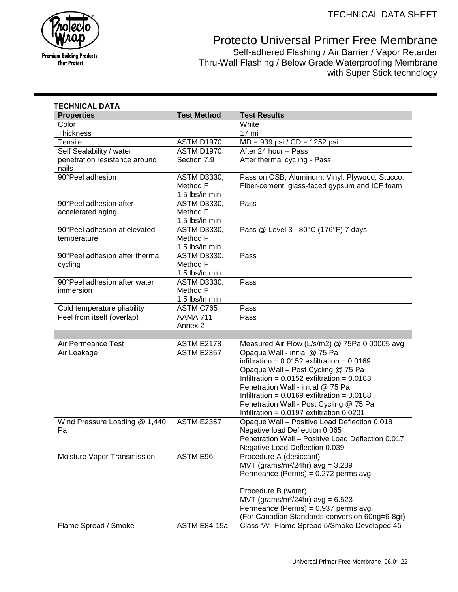

**Premium Building Products That Protect** 

Protecto Universal Primer Free Membrane

Self-adhered Flashing / Air Barrier / Vapor Retarder Thru-Wall Flashing / Below Grade Waterproofing Membrane with Super Stick technology

| <b>Properties</b>              | <b>Test Method</b> | <b>Test Results</b>                               |
|--------------------------------|--------------------|---------------------------------------------------|
| Color                          |                    | White                                             |
| <b>Thickness</b>               |                    | 17 mil                                            |
| Tensile                        | <b>ASTM D1970</b>  | MD = 939 psi / CD = 1252 psi                      |
| Self Sealability / water       | <b>ASTM D1970</b>  | After 24 hour - Pass                              |
| penetration resistance around  | Section 7.9        | After thermal cycling - Pass                      |
| nails                          |                    |                                                   |
| 90°Peel adhesion               | <b>ASTM D3330,</b> | Pass on OSB, Aluminum, Vinyl, Plywood, Stucco,    |
|                                | Method F           | Fiber-cement, glass-faced gypsum and ICF foam     |
|                                | 1.5 lbs/in min     |                                                   |
| 90°Peel adhesion after         | <b>ASTM D3330,</b> | Pass                                              |
| accelerated aging              | Method F           |                                                   |
|                                | 1.5 lbs/in min     |                                                   |
| 90°Peel adhesion at elevated   | <b>ASTM D3330,</b> | Pass @ Level 3 - 80°C (176°F) 7 days              |
| temperature                    | Method F           |                                                   |
|                                | 1.5 lbs/in min     |                                                   |
| 90°Peel adhesion after thermal | <b>ASTM D3330,</b> | Pass                                              |
| cycling                        | Method F           |                                                   |
|                                | 1.5 lbs/in min     |                                                   |
| 90°Peel adhesion after water   | <b>ASTM D3330,</b> | Pass                                              |
| immersion                      | Method F           |                                                   |
|                                | 1.5 lbs/in min     |                                                   |
| Cold temperature pliability    | ASTM C765          | Pass                                              |
| Peel from itself (overlap)     | AAMA 711           | Pass                                              |
|                                | Annex 2            |                                                   |
|                                |                    |                                                   |
| Air Permeance Test             | <b>ASTM E2178</b>  | Measured Air Flow (L/s/m2) @ 75Pa 0.00005 avg     |
| Air Leakage                    | <b>ASTM E2357</b>  | Opaque Wall - initial @ 75 Pa                     |
|                                |                    | infiltration = $0.0152$ exfiltration = $0.0169$   |
|                                |                    | Opaque Wall - Post Cycling @ 75 Pa                |
|                                |                    | Infiltration = $0.0152$ exfiltration = $0.0183$   |
|                                |                    | Penetration Wall - initial @ 75 Pa                |
|                                |                    | Infiltration = $0.0169$ exfiltration = $0.0188$   |
|                                |                    | Penetration Wall - Post Cycling @ 75 Pa           |
|                                |                    | Infiltration = $0.0197$ exfiltration 0.0201       |
| Wind Pressure Loading @ 1,440  | <b>ASTM E2357</b>  | Opaque Wall - Positive Load Deflection 0.018      |
| Pa                             |                    | Negative load Deflection 0.065                    |
|                                |                    | Penetration Wall - Positive Load Deflection 0.017 |
|                                |                    | Negative Load Deflection 0.039                    |
| Moisture Vapor Transmission    | ASTM E96           | Procedure A (desiccant)                           |
|                                |                    | MVT (grams/m <sup>2</sup> /24hr) $avg = 3.239$    |
|                                |                    | Permeance (Perms) = 0.272 perms avg.              |
|                                |                    |                                                   |
|                                |                    | Procedure B (water)                               |
|                                |                    | MVT (grams/m <sup>2</sup> /24hr) $avg = 6.523$    |
|                                |                    | Permeance (Perms) = 0.937 perms avg.              |
|                                |                    | (For Canadian Standards conversion 60ng=6-8gr)    |
| Flame Spread / Smoke           | ASTM E84-15a       | Class "A" Flame Spread 5/Smoke Developed 45       |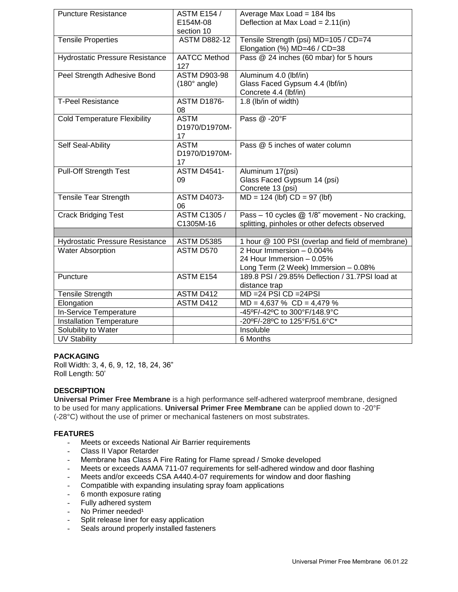| <b>Puncture Resistance</b>             | <b>ASTM E154 /</b>          | Average Max Load = 184 lbs                                                    |
|----------------------------------------|-----------------------------|-------------------------------------------------------------------------------|
|                                        | E154M-08<br>section 10      | Deflection at Max Load = $2.11$ (in)                                          |
| <b>Tensile Properties</b>              | <b>ASTM D882-12</b>         | Tensile Strength (psi) MD=105 / CD=74                                         |
|                                        |                             | Elongation (%) MD=46 / CD=38                                                  |
| <b>Hydrostatic Pressure Resistance</b> | <b>AATCC Method</b><br>127  | Pass @ 24 inches (60 mbar) for 5 hours                                        |
| Peel Strength Adhesive Bond            | <b>ASTM D903-98</b>         | Aluminum 4.0 (lbf/in)                                                         |
|                                        | $(180^\circ \text{ angle})$ | Glass Faced Gypsum 4.4 (lbf/in)                                               |
|                                        |                             | Concrete 4.4 (lbf/in)                                                         |
| <b>T-Peel Resistance</b>               | <b>ASTM D1876-</b>          | 1.8 (lb/in of width)                                                          |
|                                        | 08                          |                                                                               |
| <b>Cold Temperature Flexibility</b>    | <b>ASTM</b>                 | Pass @ -20°F                                                                  |
|                                        | D1970/D1970M-               |                                                                               |
|                                        | 17                          |                                                                               |
| Self Seal-Ability                      | <b>ASTM</b>                 | Pass @ 5 inches of water column                                               |
|                                        | D1970/D1970M-               |                                                                               |
|                                        | 17                          |                                                                               |
| <b>Pull-Off Strength Test</b>          | <b>ASTM D4541-</b>          | Aluminum 17(psi)                                                              |
|                                        | 09                          | Glass Faced Gypsum 14 (psi)                                                   |
|                                        |                             | Concrete 13 (psi)                                                             |
| <b>Tensile Tear Strength</b>           | <b>ASTM D4073-</b>          | $MD = 124$ (lbf) $CD = 97$ (lbf)                                              |
|                                        | 06                          |                                                                               |
| <b>Crack Bridging Test</b>             | <b>ASTM C1305/</b>          | Pass - 10 cycles @ 1/8" movement - No cracking,                               |
|                                        | C1305M-16                   | splitting, pinholes or other defects observed                                 |
|                                        |                             |                                                                               |
| <b>Hydrostatic Pressure Resistance</b> | ASTM D5385<br>ASTM D570     | 1 hour @ 100 PSI (overlap and field of membrane)<br>2 Hour Immersion - 0.004% |
| <b>Water Absorption</b>                |                             | 24 Hour Immersion - 0.05%                                                     |
|                                        |                             | Long Term (2 Week) Immersion - 0.08%                                          |
| Puncture                               | ASTM E154                   | 189.8 PSI / 29.85% Deflection / 31.7PSI load at                               |
|                                        |                             | distance trap                                                                 |
| <b>Tensile Strength</b>                | ASTM D412                   | $MD = 24$ PSI $CD = 24$ PSI                                                   |
| Elongation                             | ASTM D412                   | $MD = 4,637 \% CD = 4,479 \%$                                                 |
| In-Service Temperature                 |                             | -45°F/-42°C to 300°F/148.9°C                                                  |
| <b>Installation Temperature</b>        |                             | -20°F/-28°C to 125°F/51.6°C*                                                  |
| Solubility to Water                    |                             | Insoluble                                                                     |
| <b>UV Stability</b>                    |                             | 6 Months                                                                      |

## **PACKAGING**

Roll Width: 3, 4, 6, 9, 12, 18, 24, 36" Roll Length: 50'

# **DESCRIPTION**

**Universal Primer Free Membrane** is a high performance self-adhered waterproof membrane, designed to be used for many applications. **Universal Primer Free Membrane** can be applied down to -20°F (-28°C) without the use of primer or mechanical fasteners on most substrates.

## **FEATURES**

Meets or exceeds National Air Barrier requirements

- Class II Vapor Retarder
- Membrane has Class A Fire Rating for Flame spread / Smoke developed
- Meets or exceeds AAMA 711-07 requirements for self-adhered window and door flashing
- Meets and/or exceeds CSA A440.4-07 requirements for window and door flashing
- Compatible with expanding insulating spray foam applications
- 6 month exposure rating
- Fully adhered system
- No Primer needed<sup>1</sup>
- Split release liner for easy application
- Seals around properly installed fasteners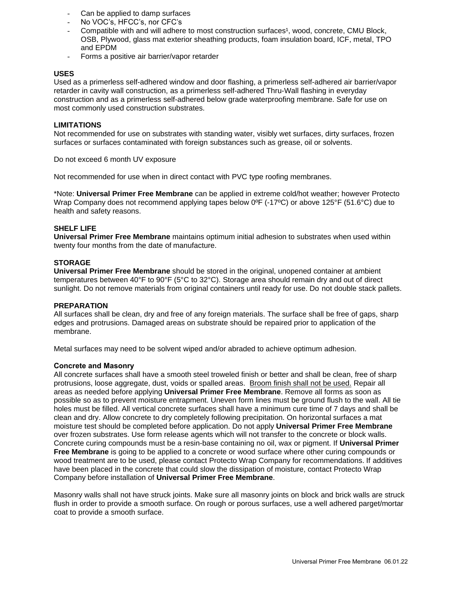- Can be applied to damp surfaces
- No VOC's, HFCC's, nor CFC's
- Compatible with and will adhere to most construction surfaces<sup>1</sup>, wood, concrete, CMU Block, OSB, Plywood, glass mat exterior sheathing products, foam insulation board, ICF, metal, TPO and EPDM
- Forms a positive air barrier/vapor retarder

# **USES**

Used as a primerless self-adhered window and door flashing, a primerless self-adhered air barrier/vapor retarder in cavity wall construction, as a primerless self-adhered Thru-Wall flashing in everyday construction and as a primerless self-adhered below grade waterproofing membrane. Safe for use on most commonly used construction substrates.

### **LIMITATIONS**

Not recommended for use on substrates with standing water, visibly wet surfaces, dirty surfaces, frozen surfaces or surfaces contaminated with foreign substances such as grease, oil or solvents.

Do not exceed 6 month UV exposure

Not recommended for use when in direct contact with PVC type roofing membranes.

\*Note: **Universal Primer Free Membrane** can be applied in extreme cold/hot weather; however Protecto Wrap Company does not recommend applying tapes below 0<sup>o</sup>F (-17<sup>o</sup>C) or above 125<sup>o</sup>F (51.6<sup>o</sup>C) due to health and safety reasons.

## **SHELF LIFE**

**Universal Primer Free Membrane** maintains optimum initial adhesion to substrates when used within twenty four months from the date of manufacture.

### **STORAGE**

**Universal Primer Free Membrane** should be stored in the original, unopened container at ambient temperatures between 40°F to 90°F (5°C to 32°C). Storage area should remain dry and out of direct sunlight. Do not remove materials from original containers until ready for use. Do not double stack pallets.

#### **PREPARATION**

All surfaces shall be clean, dry and free of any foreign materials. The surface shall be free of gaps, sharp edges and protrusions. Damaged areas on substrate should be repaired prior to application of the membrane.

Metal surfaces may need to be solvent wiped and/or abraded to achieve optimum adhesion.

#### **Concrete and Masonry**

All concrete surfaces shall have a smooth steel troweled finish or better and shall be clean, free of sharp protrusions, loose aggregate, dust, voids or spalled areas. Broom finish shall not be used. Repair all areas as needed before applying **Universal Primer Free Membrane**. Remove all forms as soon as possible so as to prevent moisture entrapment. Uneven form lines must be ground flush to the wall. All tie holes must be filled. All vertical concrete surfaces shall have a minimum cure time of 7 days and shall be clean and dry. Allow concrete to dry completely following precipitation. On horizontal surfaces a mat moisture test should be completed before application. Do not apply **Universal Primer Free Membrane** over frozen substrates. Use form release agents which will not transfer to the concrete or block walls. Concrete curing compounds must be a resin-base containing no oil, wax or pigment. If **Universal Primer Free Membrane** is going to be applied to a concrete or wood surface where other curing compounds or wood treatment are to be used, please contact Protecto Wrap Company for recommendations. If additives have been placed in the concrete that could slow the dissipation of moisture, contact Protecto Wrap Company before installation of **Universal Primer Free Membrane**.

Masonry walls shall not have struck joints. Make sure all masonry joints on block and brick walls are struck flush in order to provide a smooth surface. On rough or porous surfaces, use a well adhered parget/mortar coat to provide a smooth surface.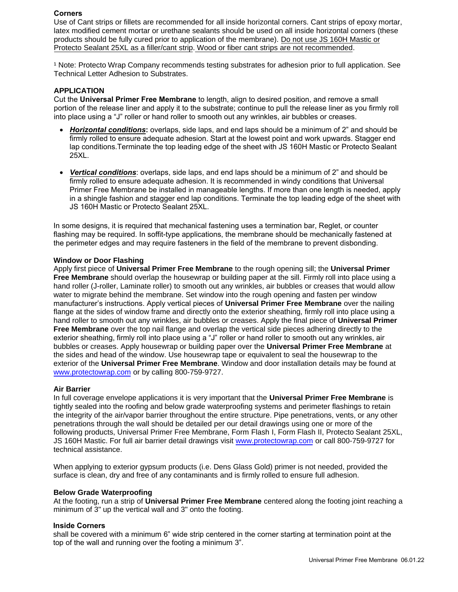### **Corners**

Use of Cant strips or fillets are recommended for all inside horizontal corners. Cant strips of epoxy mortar, latex modified cement mortar or urethane sealants should be used on all inside horizontal corners (these products should be fully cured prior to application of the membrane). Do not use JS 160H Mastic or Protecto Sealant 25XL as a filler/cant strip. Wood or fiber cant strips are not recommended.

<sup>1</sup> Note: Protecto Wrap Company recommends testing substrates for adhesion prior to full application. See Technical Letter Adhesion to Substrates.

#### **APPLICATION**

Cut the **Universal Primer Free Membrane** to length, align to desired position, and remove a small portion of the release liner and apply it to the substrate; continue to pull the release liner as you firmly roll into place using a "J" roller or hand roller to smooth out any wrinkles, air bubbles or creases.

- *Horizontal conditions***:** overlaps, side laps, and end laps should be a minimum of 2" and should be firmly rolled to ensure adequate adhesion. Start at the lowest point and work upwards. Stagger end lap conditions.Terminate the top leading edge of the sheet with JS 160H Mastic or Protecto Sealant 25XL.
- *Vertical conditions*: overlaps, side laps, and end laps should be a minimum of 2" and should be firmly rolled to ensure adequate adhesion. It is recommended in windy conditions that Universal Primer Free Membrane be installed in manageable lengths. If more than one length is needed, apply in a shingle fashion and stagger end lap conditions. Terminate the top leading edge of the sheet with JS 160H Mastic or Protecto Sealant 25XL.

In some designs, it is required that mechanical fastening uses a termination bar, Reglet, or counter flashing may be required. In soffit-type applications, the membrane should be mechanically fastened at the perimeter edges and may require fasteners in the field of the membrane to prevent disbonding.

#### **[Window or Door Flashi](http://www.protectowrap.com/)ng**

Apply first piece of **Universal Primer Free Membrane** to the rough opening sill; the **Universal Primer Free Membrane** should overlap the housewrap or building paper at the sill. Firmly roll into place using a hand roller (J-roller, Laminate roller) to smooth out any wrinkles, air bubbles or creases that would allow water to migrate behind the membrane. Set window into the rough opening and fasten per window manufacturer's instructions. Apply vertical pieces of **Universal Primer Free Membrane** over the nailing flange at the sides of window frame and directly onto the exterior sheathing, firmly roll into place using a hand roller to smooth out any wrinkles, air bubbles or creases. Apply the final piece of **Universal Primer Free Membrane** over the top nail flange and overlap the vertical side pieces adhering directly to the exterior sheathing, firmly roll into place using a "J" roller or hand roller to smooth out any wrinkles, air bubbles or creases. Apply housewrap or building paper over the **Universal Primer Free Membrane** at the sides and head of the window. Use housewrap tape or equivalent to seal the housewrap to the exterior of the **Universal Primer Free Membrane**. Window and door installation details may be found at www.protectowrap.com or by calling 800-759-9727.

#### **Air Barrier**

In full coverage envelope applications it is very important that the **Universal Primer Free Membrane** is tightly sealed into the roofing and below grade waterproofing systems and perimeter flashings to retain the integrity of the air/vapor barrier throughout the entire structure. Pipe penetrations, vents, or any other penetrations through the wall should be detailed per our detail drawings using one or more of the following products, Universal Primer Free Membrane, Form Flash I, Form Flash II, Protecto Sealant 25XL, JS 160H Mastic. For full air barrier detail drawings visit [www.protectowrap.com](http://www.protectowrap.com/) or call 800-759-9727 for technical assistance.

When applying to exterior gypsum products (i.e. Dens Glass Gold) primer is not needed, provided the surface is clean, dry and free of any contaminants and is firmly rolled to ensure full adhesion.

#### **Below Grade Waterproofing**

At the footing, run a strip of **Universal Primer Free Membrane** centered along the footing joint reaching a minimum of 3" up the vertical wall and 3" onto the footing.

### **Inside Corners**

shall be covered with a minimum 6" wide strip centered in the corner starting at termination point at the top of the wall and running over the footing a minimum 3".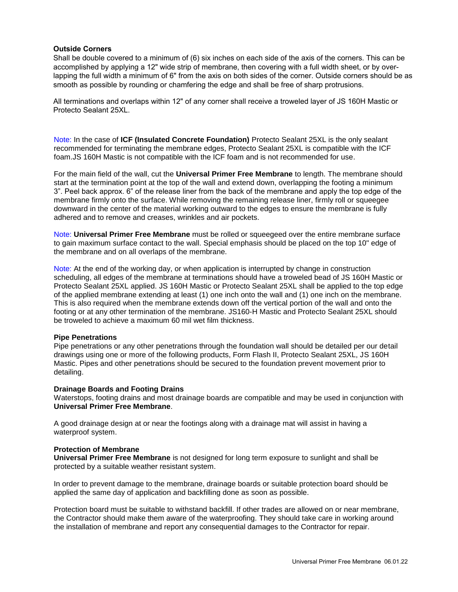## **Outside Corners**

Shall be double covered to a minimum of (6) six inches on each side of the axis of the corners. This can be accomplished by applying a 12" wide strip of membrane, then covering with a full width sheet, or by overlapping the full width a minimum of 6" from the axis on both sides of the corner. Outside corners should be as smooth as possible by rounding or chamfering the edge and shall be free of sharp protrusions.

All terminations and overlaps within 12" of any corner shall receive a troweled layer of JS 160H Mastic or Protecto Sealant 25XL.

Note: In the case of **ICF (Insulated Concrete Foundation)** Protecto Sealant 25XL is the only sealant recommended for terminating the membrane edges, Protecto Sealant 25XL is compatible with the ICF foam.JS 160H Mastic is not compatible with the ICF foam and is not recommended for use.

For the main field of the wall, cut the **Universal Primer Free Membrane** to length. The membrane should start at the termination point at the top of the wall and extend down, overlapping the footing a minimum 3". Peel back approx. 6" of the release liner from the back of the membrane and apply the top edge of the membrane firmly onto the surface. While removing the remaining release liner, firmly roll or squeegee downward in the center of the material working outward to the edges to ensure the membrane is fully adhered and to remove and creases, wrinkles and air pockets.

Note: **Universal Primer Free Membrane** must be rolled or squeegeed over the entire membrane surface to gain maximum surface contact to the wall. Special emphasis should be placed on the top 10" edge of the membrane and on all overlaps of the membrane.

Note: At the end of the working day, or when application is interrupted by change in construction scheduling, all edges of the membrane at terminations should have a troweled bead of JS 160H Mastic or Protecto Sealant 25XL applied. JS 160H Mastic or Protecto Sealant 25XL shall be applied to the top edge of the applied membrane extending at least (1) one inch onto the wall and (1) one inch on the membrane. This is also required when the membrane extends down off the vertical portion of the wall and onto the footing or at any other termination of the membrane. JS160-H Mastic and Protecto Sealant 25XL should be troweled to achieve a maximum 60 mil wet film thickness.

#### **Pipe Penetrations**

Pipe penetrations or any other penetrations through the foundation wall should be detailed per our detail drawings using one or more of the following products, Form Flash II, Protecto Sealant 25XL, JS 160H Mastic. Pipes and other penetrations should be secured to the foundation prevent movement prior to detailing.

#### **Drainage Boards and Footing Drains**

Waterstops, footing drains and most drainage boards are compatible and may be used in conjunction with **Universal Primer Free Membrane**.

A good drainage design at or near the footings along with a drainage mat will assist in having a waterproof system.

#### **Protection of Membrane**

**Universal Primer Free Membrane** is not designed for long term exposure to sunlight and shall be protected by a suitable weather resistant system.

In order to prevent damage to the membrane, drainage boards or suitable protection board should be applied the same day of application and backfilling done as soon as possible.

Protection board must be suitable to withstand backfill. If other trades are allowed on or near membrane, the Contractor should make them aware of the waterproofing. They should take care in working around the installation of membrane and report any consequential damages to the Contractor for repair.